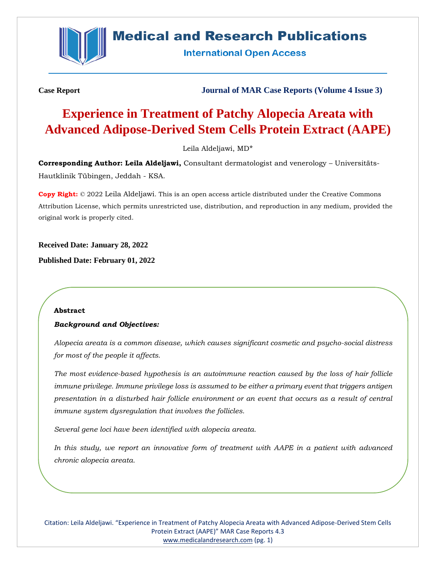

# **Medical and Research Publications**

**International Open Access** 

**Case Report Journal of MAR Case Reports (Volume 4 Issue 3)**

# **Experience in Treatment of Patchy Alopecia Areata with Advanced Adipose-Derived Stem Cells Protein Extract (AAPE)**

Leila Aldeljawi, MD\*

**Corresponding Author: Leila Aldeljawi,** Consultant dermatologist and venerology – Universitäts-Hautklinik Tübingen, Jeddah - KSA.

**Copy Right:** © 2022 Leila Aldeljawi. This is an open access article distributed under the Creative Commons Attribution License, which permits unrestricted use, distribution, and reproduction in any medium, provided the original work is properly cited.

**Received Date: January 28, 2022**

**Published Date: February 01, 2022**

#### **Abstract**

#### *Background and Objectives:*

*Alopecia areata is a common disease, which causes significant cosmetic and psycho-social distress for most of the people it affects.* 

*The most evidence-based hypothesis is an autoimmune reaction caused by the loss of hair follicle immune privilege. Immune privilege loss is assumed to be either a primary event that triggers antigen presentation in a disturbed hair follicle environment or an event that occurs as a result of central immune system dysregulation that involves the follicles.*

*Several gene loci have been identified with alopecia areata.*

*In this study, we report an innovative form of treatment with AAPE in a patient with advanced chronic alopecia areata.*

Citation: Leila Aldeljawi. "Experience in Treatment of Patchy Alopecia Areata with Advanced Adipose-Derived Stem Cells Protein Extract (AAPE)" MAR Case Reports 4.3 [www.medicalandresearch.com](http://www.medicalandresearch.com/) (pg. 1)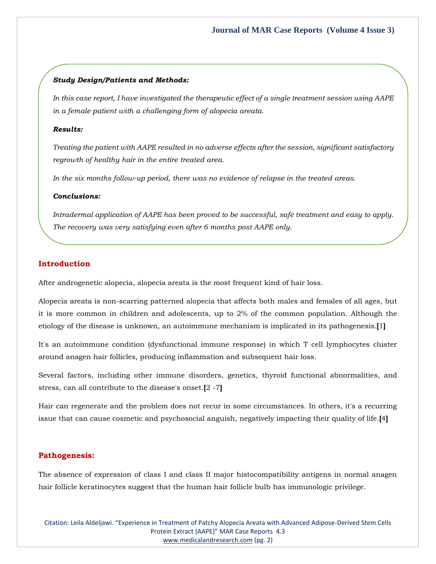#### *Study Design/Patients and Methods:*

*In this case report, I have investigated the therapeutic effect of a single treatment session using AAPE in a female patient with a challenging form of alopecia areata.* 

### *Results:*

*Treating the patient with AAPE resulted in no adverse effects after the session, significant satisfactory regrowth of healthy hair in the entire treated area.*

*In the six months follow-up period, there was no evidence of relapse in the treated areas.*

#### *Conclusions:*

*Intradermal application of AAPE has been proved to be successful, safe treatment and easy to apply. The recovery was very satisfying even after 6 months post AAPE only.*

#### **Introduction**

After androgenetic alopecia, alopecia areata is the most frequent kind of hair loss.

Alopecia areata is non-scarring patterned alopecia that affects both males and females of all ages, but it is more common in children and adolescents, up to 2% of the common population. Although the etiology of the disease is unknown, an autoimmune mechanism is implicated in its pathogenesis.**[**1**]**

It's an autoimmune condition (dysfunctional immune response) in which T cell lymphocytes cluster around anagen hair follicles, producing inflammation and subsequent hair loss.

Several factors, including other immune disorders, genetics, thyroid functional abnormalities, and stress, can all contribute to the disease's onset.**[**2 -7**]**

Hair can regenerate and the problem does not recur in some circumstances. In others, it's a recurring issue that can cause cosmetic and psychosocial anguish, negatively impacting their quality of life.**[**4**]**

#### **Pathogenesis:**

The absence of expression of class I and class II major histocompatibility antigens in normal anagen hair follicle keratinocytes suggest that the human hair follicle bulb has immunologic privilege.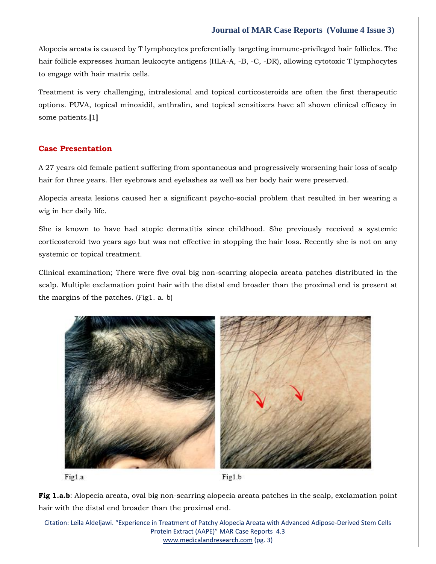### **Journal of MAR Case Reports (Volume 4 Issue 3)**

Alopecia areata is caused by T lymphocytes preferentially targeting immune-privileged hair follicles. The hair follicle expresses human leukocyte antigens (HLA-A, -B, -C, -DR), allowing cytotoxic T lymphocytes to engage with hair matrix cells.

Treatment is very challenging, intralesional and topical corticosteroids are often the first therapeutic options. PUVA, topical minoxidil, anthralin, and topical sensitizers have all shown clinical efficacy in some patients.**[**1**]**

#### **Case Presentation**

A 27 years old female patient suffering from spontaneous and progressively worsening hair loss of scalp hair for three years. Her eyebrows and eyelashes as well as her body hair were preserved.

Alopecia areata lesions caused her a significant psycho-social problem that resulted in her wearing a wig in her daily life.

She is known to have had atopic dermatitis since childhood. She previously received a systemic corticosteroid two years ago but was not effective in stopping the hair loss. Recently she is not on any systemic or topical treatment.

Clinical examination; There were five oval big non-scarring alopecia areata patches distributed in the scalp. Multiple exclamation point hair with the distal end broader than the proximal end is present at the margins of the patches. (Fig1. a. b)





Fig1.b

**Fig 1.a.b**: Alopecia areata, oval big non-scarring alopecia areata patches in the scalp, exclamation point hair with the distal end broader than the proximal end.

Citation: Leila Aldeljawi. "Experience in Treatment of Patchy Alopecia Areata with Advanced Adipose-Derived Stem Cells Protein Extract (AAPE)" MAR Case Reports 4.3 [www.medicalandresearch.com](http://www.medicalandresearch.com/) (pg. 3)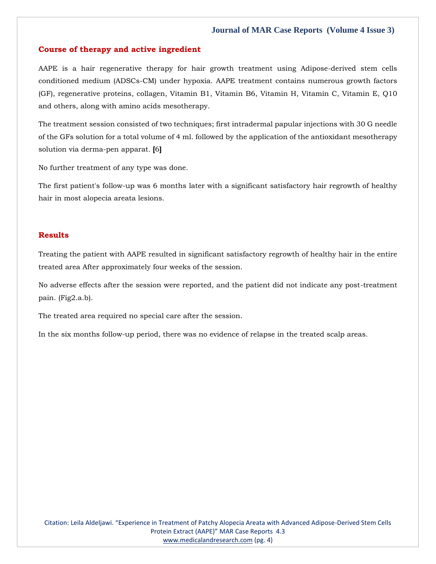#### **Journal of MAR Case Reports (Volume 4 Issue 3)**

#### **Course of therapy and active ingredient**

AAPE is a hair regenerative therapy for hair growth treatment using Adipose-derived stem cells conditioned medium (ADSCs-CM) under hypoxia. AAPE treatment contains numerous growth factors (GF), regenerative proteins, collagen, Vitamin B1, Vitamin B6, Vitamin H, Vitamin C, Vitamin E, Q10 and others, along with amino acids mesotherapy.

The treatment session consisted of two techniques; first intradermal papular injections with 30 G needle of the GFs solution for a total volume of 4 ml. followed by the application of the antioxidant mesotherapy solution via derma-pen apparat. **[**6**]**

No further treatment of any type was done.

The first patient's follow-up was 6 months later with a significant satisfactory hair regrowth of healthy hair in most alopecia areata lesions.

#### **Results**

Treating the patient with AAPE resulted in significant satisfactory regrowth of healthy hair in the entire treated area After approximately four weeks of the session.

No adverse effects after the session were reported, and the patient did not indicate any post-treatment pain. (Fig2.a.b).

The treated area required no special care after the session.

In the six months follow-up period, there was no evidence of relapse in the treated scalp areas.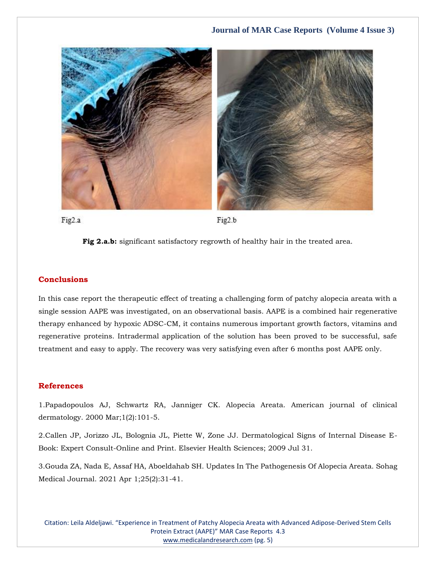

Fig2.a

Fig2.b



## **Conclusions**

In this case report the therapeutic effect of treating a challenging form of patchy alopecia areata with a single session AAPE was investigated, on an observational basis. AAPE is a combined hair regenerative therapy enhanced by hypoxic ADSC-CM, it contains numerous important growth factors, vitamins and regenerative proteins. Intradermal application of the solution has been proved to be successful, safe treatment and easy to apply. The recovery was very satisfying even after 6 months post AAPE only.

#### **References**

1[.Papadopoulos AJ, Schwartz RA, Janniger CK. Alopecia Areata. American journal of clinical](https://www.google.com/search?q=alopecia+areata&oq=Alopecia+Areata&aqs=chrome.0.0i433i512l2j0i512j0i433i512j0i512j0i433i512j0i512l4.351j0j7&sourceid=chrome&ie=UTF-8)  [dermatology. 2000 Mar;1\(2\):101-5.](https://www.google.com/search?q=alopecia+areata&oq=Alopecia+Areata&aqs=chrome.0.0i433i512l2j0i512j0i433i512j0i512j0i433i512j0i512l4.351j0j7&sourceid=chrome&ie=UTF-8)

2[.Callen JP, Jorizzo JL, Bolognia JL, Piette W, Zone JJ. Dermatological Signs of Internal Disease E-](https://www.google.com/search?q=Dermatological+Signs+of+Internal+Disease+E-Book%3A+Expert+Consult-Online+and+Print&sxsrf=APq-WBtvt2lPJ7YzcsP6jnhCXtUCsEwRQg%3A1643453350874&ei=phv1Yb3fNO-N4-EPoqqR4AQ&ved=0ahUKEwi9yrvp5Nb1AhXvxjgGHSJVBEwQ4dUDCA4&uact=5&oq=Dermatological+Signs+of+Internal+Disease+E-Book%3A+Expert+Consult-Online+and+Print&gs_lcp=Cgdnd3Mtd2l6EAM6BwgjEOoCECdKBAhBGABKBAhGGABQvAlYvAlg-AtoAXACeACAAaICiAGiApIBAzItMZgBAKABAaABArABCsABAQ&sclient=gws-wiz)[Book: Expert Consult-Online and Print. Elsevier Health Sciences; 2009 Jul 31.](https://www.google.com/search?q=Dermatological+Signs+of+Internal+Disease+E-Book%3A+Expert+Consult-Online+and+Print&sxsrf=APq-WBtvt2lPJ7YzcsP6jnhCXtUCsEwRQg%3A1643453350874&ei=phv1Yb3fNO-N4-EPoqqR4AQ&ved=0ahUKEwi9yrvp5Nb1AhXvxjgGHSJVBEwQ4dUDCA4&uact=5&oq=Dermatological+Signs+of+Internal+Disease+E-Book%3A+Expert+Consult-Online+and+Print&gs_lcp=Cgdnd3Mtd2l6EAM6BwgjEOoCECdKBAhBGABKBAhGGABQvAlYvAlg-AtoAXACeACAAaICiAGiApIBAzItMZgBAKABAaABArABCsABAQ&sclient=gws-wiz)

3[.Gouda ZA, Nada E, Assaf HA, Aboeldahab SH. Updates In The Pathogenesis Of Alopecia Areata. Sohag](https://www.google.com/search?q=Updates+In+The+Pathogenesis+Of+Alopecia+Areata&sxsrf=APq-WBtXovjrSaJIX4zjWaTS5XEvAX1MeA%3A1643453367877&ei=txv1YZj-NPGL4-EPzuKOwA4&ved=0ahUKEwjYtcnx5Nb1AhXxxTgGHU6xA-gQ4dUDCA4&uact=5&oq=Updates+In+The+Pathogenesis+Of+Alopecia+Areata&gs_lcp=Cgdnd3Mtd2l6EAMyBwgjEOoCECcyBwgjEOoCECcyBwgjEOoCECcyBwgjEOoCECcyBwgjEOoCECcyBwgjEOoCECcyBwgjEOoCECcyBwgjEOoCECcyBwgjEOoCECcyBwgjEOoCECdKBAhBGABKBAhGGABQzwVYzwVggQhoAXAAeACAAQCIAQCSAQCYAQCgAQGgAQKwAQrAAQE&sclient=gws-wiz)  [Medical Journal. 2021 Apr 1;25\(2\):31-41.](https://www.google.com/search?q=Updates+In+The+Pathogenesis+Of+Alopecia+Areata&sxsrf=APq-WBtXovjrSaJIX4zjWaTS5XEvAX1MeA%3A1643453367877&ei=txv1YZj-NPGL4-EPzuKOwA4&ved=0ahUKEwjYtcnx5Nb1AhXxxTgGHU6xA-gQ4dUDCA4&uact=5&oq=Updates+In+The+Pathogenesis+Of+Alopecia+Areata&gs_lcp=Cgdnd3Mtd2l6EAMyBwgjEOoCECcyBwgjEOoCECcyBwgjEOoCECcyBwgjEOoCECcyBwgjEOoCECcyBwgjEOoCECcyBwgjEOoCECcyBwgjEOoCECcyBwgjEOoCECcyBwgjEOoCECdKBAhBGABKBAhGGABQzwVYzwVggQhoAXAAeACAAQCIAQCSAQCYAQCgAQGgAQKwAQrAAQE&sclient=gws-wiz)

Citation: Leila Aldeljawi. "Experience in Treatment of Patchy Alopecia Areata with Advanced Adipose-Derived Stem Cells Protein Extract (AAPE)" MAR Case Reports 4.3 [www.medicalandresearch.com](http://www.medicalandresearch.com/) (pg. 5)